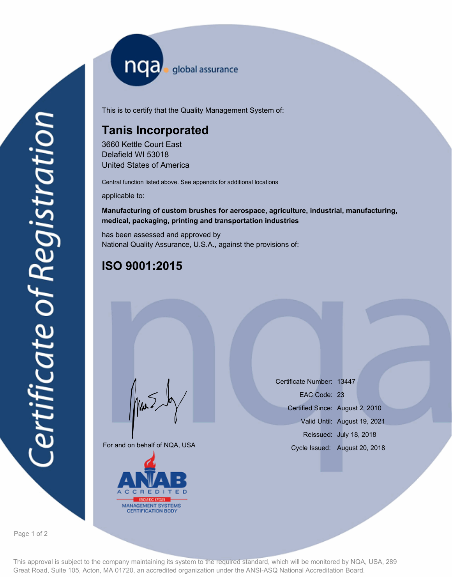nqa <sub>global assurance</sub>

This is to certify that the Quality Management System of:

## **Tanis Incorporated**

3660 Kettle Court East Delafield WI 53018 United States of America

Central function listed above. See appendix for additional locations

applicable to:

### **Manufacturing of custom brushes for aerospace, agriculture, industrial, manufacturing, medical, packaging, printing and transportation industries**

has been assessed and approved by National Quality Assurance, U.S.A., against the provisions of:

# **ISO 9001:2015**

For and on behalf of NQA, USA

Mus



Certificate Number: 13447 Certified Since: August 2, 2010 Valid Until: August 19, 2021 Reissued: July 18, 2018 EAC Code: 23 Cycle Issued: August 20, 2018

Page 1 of 2

This approval is subject to the company maintaining its system to the required standard, which will be monitored by NQA, USA, 289 Great Road, Suite 105, Acton, MA 01720, an accredited organization under the ANSI-ASQ National Accreditation Board.